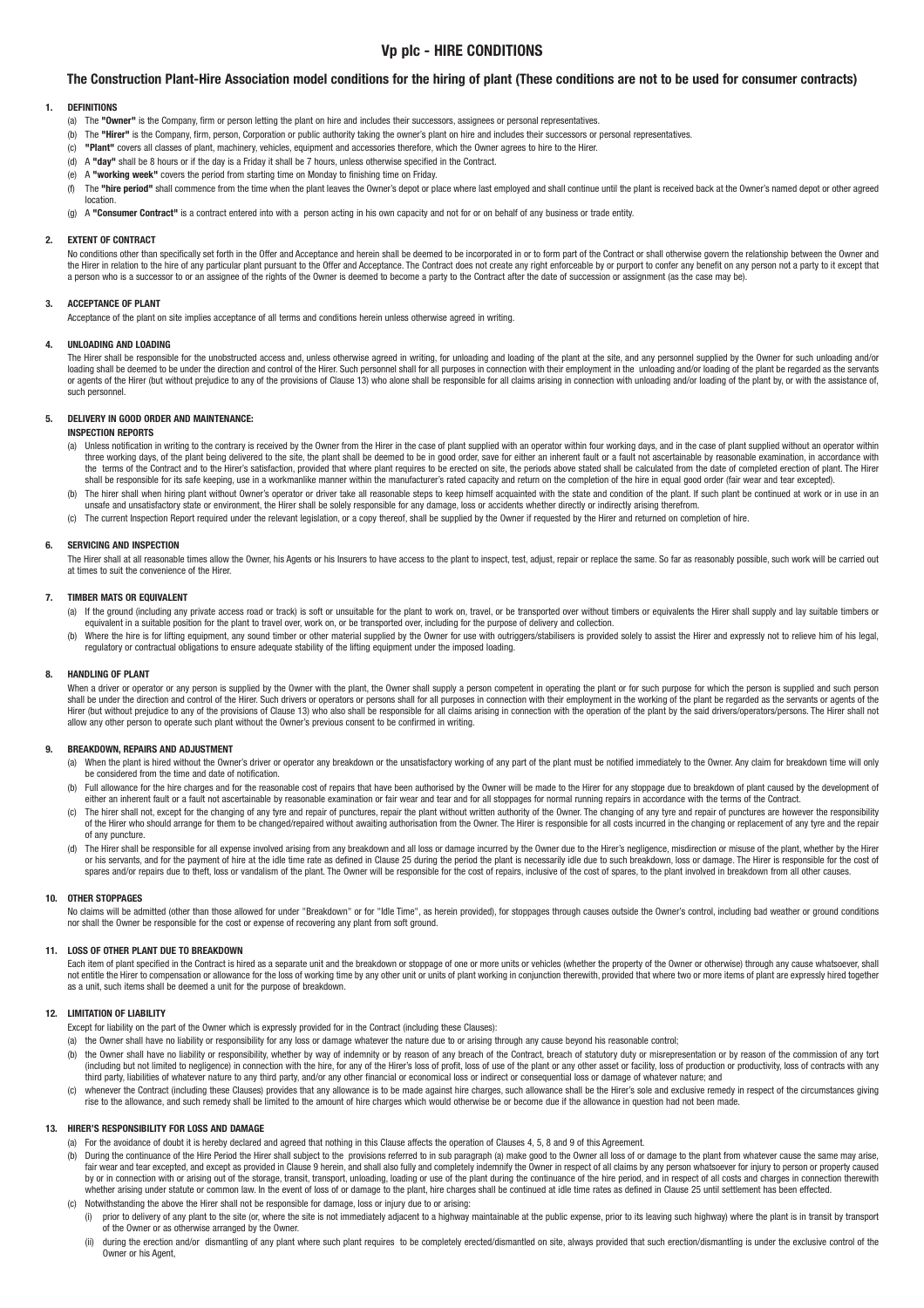# **Vp plc - HIRE CONDITIONS**

# **The Construction Plant-Hire Association model conditions for the hiring of plant (These conditions are not to be used for consumer contracts)**

### **1. DEFINITIONS**

- (a) The **"Owner"** is the Company, firm or person letting the plant on hire and includes their successors, assignees or personal representatives.
- (b) The **"Hirer"** is the Company, firm, person, Corporation or public authority taking the owner's plant on hire and includes their successors or personal representatives.
- (c) **"Plant"** covers all classes of plant, machinery, vehicles, equipment and accessories therefore, which the Owner agrees to hire to the Hirer.
- (d) A **"day"** shall be 8 hours or if the day is a Friday it shall be 7 hours, unless otherwise specified in the Contract.
- (e) A **"working week"** covers the period from starting time on Monday to finishing time on Friday.
- (f) The "hire period" shall commence from the time when the plant leaves the Owner's depot or place where last employed and shall continue until the plant is received back at the Owner's named depot or other agreed location.
- (g) A **"Consumer Contract"** is a contract entered into with a person acting in his own capacity and not for or on behalf of any business or trade entity.

#### **2. EXTENT OF CONTRACT**

No conditions other than specifically set forth in the Offer and Acceptance and herein shall be deemed to be incorporated in or to form part of the Contract or shall otherwise govern the relationship between the Owner and the Hirer in relation to the hire of any particular plant pursuant to the Offer and Acceptance. The Contract does not create any right enforceable by or purport to confer any benefit on any person not a party to it except a person who is a successor to or an assignee of the rights of the Owner is deemed to become a party to the Contract after the date of succession or assignment (as the case may be).

#### **3. ACCEPTANCE OF PLANT**

Acceptance of the plant on site implies acceptance of all terms and conditions herein unless otherwise agreed in writing.

#### **4. UNLOADING AND LOADING**

The Hirer shall be responsible for the unobstructed access and, unless otherwise agreed in writing, for unloading and loading of the plant at the site, and any personnel supplied by the Owner for such unloading and/or loading shall be deemed to be under the direction and control of the Hirer. Such personnel shall for all purposes in connection with their employment in the unloading and/or loading of the plant be regarded as the servants or agents of the Hirer (but without prejudice to any of the provisions of Clause 13) who alone shall be responsible for all claims arising in connection with unloading and/or loading of the plant by or with the assistance such personnel

## **5. DELIVERY IN GOOD ORDER AND MAINTENANCE:**

## **INSPECTION REPORTS**

- (a) Unless notification in writing to the contrary is received by the Owner from the Hirer in the case of plant supplied with an operator within four working days, and in the case of plant supplied without an operator with three working days, of the plant being delivered to the site, the plant shall be deemed to be in good order, save for either an inherent fault or a fault not ascertainable by reasonable examination, in accordance with the terms of the Contract and to the Hirer's satisfaction, provided that where plant requires to be erected on site, the periods above stated shall be calculated from the date of completed erection of plant. The Hirer shall be responsible for its safe keeping, use in a workmanlike manner within the manufacturer's rated capacity and return on the completion of the hire in equal good order (fair wear and tear excepted).
- (b) The hirer shall when hiring plant without Owner's operator or driver take all reasonable steps to keep himself acquainted with the state and condition of the plant. If such plant be continued at work or in use in an unsafe and unsatisfactory state or environment, the Hirer shall be solely responsible for any damage, loss or accidents whether directly or indirectly arising therefrom.
- (c) The current Inspection Report required under the relevant legislation, or a copy thereof, shall be supplied by the Owner if requested by the Hirer and returned on completion of hire.

## **6. SERVICING AND INSPECTION**

The Hirer shall at all reasonable times allow the Owner, his Agents or his Insurers to have access to the plant to inspect, test, adjust, repair or replace the same. So far as reasonably possible, such work will be carried at times to suit the convenience of the Hirer.

### **7. TIMBER MATS OR EQUIVALENT**

- (a) If the ground (including any private access road or track) is soft or unsuitable for the plant to work on, travel, or be transported over without timbers or equivalents the Hirer shall supply and lay suitable timbers o equivalent in a suitable position for the plant to travel over, work on, or be transported over, including for the purpose of delivery and collection.
- (b) Where the hire is for lifting equipment, any sound timber or other material supplied by the Owner for use with outriggers/stabilisers is provided solely to assist the Hirer and expressly not to relieve him of his legal regulatory or contractual obligations to ensure adequate stability of the lifting equipment under the imposed loading.

#### **8. HANDLING OF PLANT**

When a driver or operator or any person is supplied by the Owner with the plant, the Owner shall supply a person competent in operating the plant or for such purpose for which the person is supplied and such person shall be under the direction and control of the Hirer. Such drivers or operators or persons shall for all purposes in connection with their employment in the working of the plant be regarded as the servants or agents of th allow any other person to operate such plant without the Owner's previous consent to be confirmed in writing.

#### **9. BREAKDOWN, REPAIRS AND ADJUSTMENT**

- (a) When the plant is hired without the Owner's driver or operator any breakdown or the unsatisfactory working of any part of the plant must be notified immediately to the Owner. Any claim for breakdown time will only be considered from the time and date of notification.
- (b) Full allowance for the hire charges and for the reasonable cost of repairs that have been authorised by the Owner will be made to the Hirer for any stoppage due to breakdown of plant caused by the development of Function interest fault or a fault not ascertainable by reasonable examination or fair wear and tear and for all stoppages for normal running repairs in accordance with the terms of the Contract.
- (c) The hirer shall not, except for the changing of any tyre and repair of punctures, repair the plant without written authority of the Owner. The changing of any tyre and repair of punctures are however the responsibility of the Hirer who should arrange for them to be changed/repaired without awaiting authorisation from the Owner. The Hirer is responsible for all costs incurred in the changing or replacement of any tyre and the repair of any puncture.
- d) The Hirer shall be responsible for all expense involved arising from any breakdown and all loss or damage incurred by the Owner due to the Hirer's negligence, misdirection or misuse of the plant, whether by the Hirer<br>or spares and/or repairs due to theft, loss or vandalism of the plant. The Owner will be responsible for the cost of repairs, inclusive of the cost of spares, to the plant involved in breakdown from all other causes.

#### **10. OTHER STOPPAGES**

No claims will be admitted (other than those allowed for under "Breakdown" or for "Idle Time", as herein provided), for stoppages through causes outside the Owner's control, including bad weather or ground conditions nor shall the Owner be responsible for the cost or expense of recovering any plant from soft ground.

#### **11. LOSS OF OTHER PLANT DUE TO BREAKDOWN**

Each item of plant specified in the Contract is hired as a separate unit and the breakdown or stoppage of one or more units or vehicles (whether the property of the Owner or otherwise) through any cause whatsoever, shall not entitle the Hirer to compensation or allowance for the loss of working time by any other unit or units of plant working in conjunction therewith, provided that where two or more items of plant are expressly hired toget as a unit, such items shall be deemed a unit for the purpose of breakdown.

#### **12. LIMITATION OF LIABILITY**

- Except for liability on the part of the Owner which is expressly provided for in the Contract (including these Clauses):
- (a) the Owner shall have no liability or responsibility for any loss or damage whatever the nature due to or arising through any cause beyond his reasonable control;
- (b) the Owner shall have no liability or responsibility, whether by way of indemnity or by reason of any breach of the Contract, breach of statutory duty or misrepresentation or by reason of the commission of any tort (including but not limited to negligence) in connection with the hire, for any of the Hirer's loss of profit, loss of use of the plant or any other asset or facility, loss of production or productivity, loss of contracts w third party, liabilities of whatever nature to any third party, and/or any other financial or economical loss or indirect or consequential loss or damage of whatever nature; and
- whenever the Contract (including these Clauses) provides that any allowance is to be made against hire charges, such allowance shall be the Hirer's sole and exclusive remedy in respect of the circumstances giving rise to the allowance, and such remedy shall be limited to the amount of hire charges which would otherwise be or become due if the allowance in question had not been made.

## **13. HIRER'S RESPONSIBILITY FOR LOSS AND DAMAGE**

- (a) For the avoidance of doubt it is hereby declared and agreed that nothing in this Clause affects the operation of Clauses 4, 5, 8 and 9 of this Agreement.
- (b) During the continuance of the Hire Period the Hirer shall subject to the provisions referred to in sub paragraph (a) make good to the Owner all loss of or damage to the plant from whatever cause the same may arise, fair wear and tear excepted, and except as provided in Clause 9 herein, and shall also fully and completely indemnify the Owner in respect of all claims by any person whatsoever for injury to person or property caused  $\alpha$  by or in connection with or arising out of the storage, transit, transport, unloading, loading or use of the plant during the continuance of the hire period, and in respect of all costs and charges in connection ther whether arising under statute or common law. In the event of loss of or damage to the plant, hire charges shall be continued at idle time rates as defined in Clause 25 until settlement has been effected. (c) Notwithstanding the above the Hirer shall not be responsible for damage, loss or injury due to or arising:
	- (i) prior to delivery of any plant to the site (or, where the site is not immediately adjacent to a highway maintainable at the public expense, prior to its leaving such highway) where the plant is in transit by transport of the Owner or as otherwise arranged by the Owner.
	- (ii) during the erection and/or dismantling of any plant where such plant requires to be completely erected/dismantled on site, always provided that such erection/dismantling is under the exclusive control of the Owner or his Agent.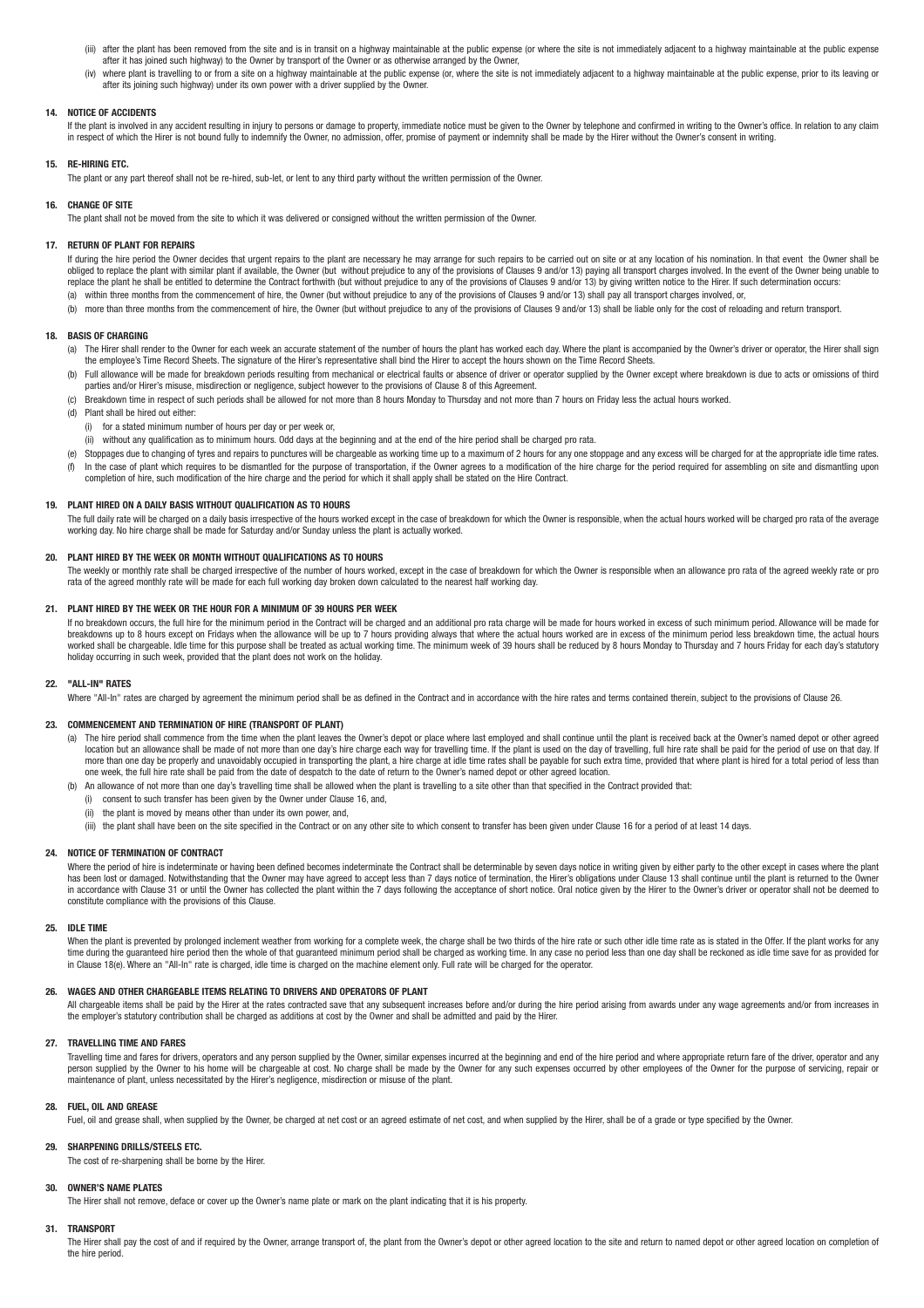- (iii) after the plant has been removed from the site and is in transit on a highway maintainable at the public expense (or where the site is not immediately adjacent to a highway maintainable at the public expense after it has joined such highway) to the Owner by transport of the Owner or as otherwise arranged by the Owner,
- (iv) where plant is travelling to or from a site on a highway maintainable at the public expense (or, where the site is not immediately adjacent to a highway maintainable at the public expense, prior to its leaving or after its joining such highway) under its own power with a driver supplied by the Owner.

## **14. NOTICE OF ACCIDENTS**

If the plant is involved in any accident resulting in injury to persons or damage to property, immediate notice must be given to the Owner by telephone and confirmed in writing to the Owner's office. In relation to any cla in respect of which the Hirer is not bound fully to indemnify the Owner, no admission, offer, promise of payment or indemnity shall be made by the Hirer without the Owner's consent in writing.

## **15. RE-HIRING ETC.**

The plant or any part thereof shall not be re-hired, sub-let, or lent to any third party without the written permission of the Owner.

## **16. CHANGE OF SITE**

The plant shall not be moved from the site to which it was delivered or consigned without the written permission of the Owner.

### **17. RETURN OF PLANT FOR REPAIRS**

If during the hire period the Owner decides that urgent repairs to the plant are necessary he may arrange for such repairs to be carried out on site or at any location of his nomination. In that event the Owner shall be  $\alpha$  obliged to replace the plant with similar plant if available, the Owner (but without prejudice to any of the provisions of Clauses 9 and/or 13) paying all transport charges involved. In the event of the Owner being u replace the plant he shall be entitled to determine the Contract forthwith (but without prejudice to any of the provisions of Clauses 9 and/or 13) by giving written notice to the Hirer. If such determination occurs: (a) within three months from the commencement of hire, the Owner (but without prejudice to any of the provisions of Clauses 9 and/or 13) shall pay all transport charges involved, or,

(b) more than three months from the commencement of hire, the Owner (but without prejudice to any of the provisions of Clauses 9 and/or 13) shall be liable only for the cost of reloading and return transport.

## **18. BASIS OF CHARGING**

- (a) The Hirer shall render to the Owner for each week an accurate statement of the number of hours the plant has worked each day. Where the plant is accompanied by the Owner's driver or operator, the Hirer shall sign the employee's Time Record Sheets. The signature of the Hirer's representative shall bind the Hirer to accept the hours shown on the Time Record Sheets.
- (b) Full allowance will be made for breakdown periods resulting from mechanical or electrical faults or absence of driver or operator supplied by the Owner except where breakdown is due to acts or omissions of third parties and/or Hirer's misuse, misdirection or negligence, subject however to the provisions of Clause 8 of this Agreement.
- (c) Breakdown time in respect of such periods shall be allowed for not more than 8 hours Monday to Thursday and not more than 7 hours on Friday less the actual hours worked.
- (d) Plant shall be hired out either:
- (i) for a stated minimum number of hours per day or per week or,
- (ii) without any qualification as to minimum hours. Odd days at the beginning and at the end of the hire period shall be charged pro rata.
- Stoppages due to changing of tyres and repairs to punctures will be chargeable as working time up to a maximum of 2 hours for any one stoppage and any excess will be charged for at the appropriate idle time rates. (f) In the case of plant which requires to be dismantled for the purpose of transportation, if the Owner agrees to a modification of the hire charge for the period required for assembling on site and dismantling upon completion of hire, such modification of the hire charge and the period for which it shall apply shall be stated on the Hire Contract.

### **19. PLANT HIRED ON A DAILY BASIS WITHOUT QUALIFICATION AS TO HOURS**

The full daily rate will be charged on a daily basis irrespective of the hours worked except in the case of breakdown for which the Owner is responsible, when the actual hours worked will be charged pro rata of the average working day. No hire charge shall be made for Saturday and/or Sunday unless the plant is actually worked.

## **20. PLANT HIRED BY THE WEEK OR MONTH WITHOUT QUALIFICATIONS AS TO HOURS**

The weekly or monthly rate shall be charged irrespective of the number of hours worked, except in the case of breakdown for which the Owner is responsible when an allowance pro rata of the agreed weekly rate or pro rata of the agreed monthly rate will be made for each full working day broken down calculated to the nearest half working day.

### **21. PLANT HIRED BY THE WEEK OR THE HOUR FOR A MINIMUM OF 39 HOURS PER WEEK**

If no breakdown occurs, the full hire for the minimum period in the Contract will be charged and an additional pro rata charge will be made for hours worked in excess of such minimum period. Allowance will be made for breakdowns up to 8 hours except on Fridays when the allowance will be up to 7 hours providing always that where the actual hours worked are in excess of the minimum period less breakdown time, the actual hours<br>worked shall holiday occurring in such week, provided that the plant does not work on the holiday.

#### **22. "ALL-IN" RATES**

Where "All-In" rates are charged by agreement the minimum period shall be as defined in the Contract and in accordance with the hire rates and terms contained therein, subject to the provisions of Clause 26.

## **23. COMMENCEMENT AND TERMINATION OF HIRE (TRANSPORT OF PLANT)**

- (a) The hire period shall commence from the time when the plant leaves the Owner's depot or place where last employed and shall continue until the plant is received back at the Owner's named depot or other agreed location but an allowance shall be made of not more than one day's hire charge each way for travelling time. If the plant is used on the day of travelling, full hire rate shall be paid for the period of use on that day. If more than one day be properly and unavoidably occupied in transporting the plant, a hire charge at idle time rates shall be payable for such extra time, provided that where plant is hired for a total period of less than one week, the full hire rate shall be paid from the date of despatch to the date of return to the Owner's named depot or other agreed location.
- (b) An allowance of not more than one day's travelling time shall be allowed when the plant is travelling to a site other than that specified in the Contract provided that:
	- (i) consent to such transfer has been given by the Owner under Clause 16, and,
	- $(iii)$  the plant is moved by means other than under its own power, and
	- (iii) the plant shall have been on the site specified in the Contract or on any other site to which consent to transfer has been given under Clause 16 for a period of at least 14 days.

### **24. NOTICE OF TERMINATION OF CONTRACT**

Where the period of hire is indeterminate or having been defined becomes indeterminate the Contract shall be determinable by seven days notice in writing given by either party to the other except in cases where the plant has been lost or damaged. Notwithstanding that the Owner may have agreed to accept less than 7 days notice of termination, the Hirer's obligations under Clause 13 shall continue until the plant is returned to the Owner in accordance with Clause 31 or until the Owner has collected the plant within the 7 days following the acceptance of short notice. Oral notice given by the Hirer to the Owner's driver or operator shall not be deemed to constitute compliance with the provisions of this Clause.

## **25. IDLE TIME**

When the plant is prevented by prolonged inclement weather from working for a complete week, the charge shall be two thirds of the hire rate or such other idle time rate as is stated in the Offer. If the plant works for an time during the guaranteed hire period then the whole of that guaranteed minimum period shall be charged as working time. In any case no period less than one day shall be reckoned as idle time save for as provided for<br>in C

## **26. WAGES AND OTHER CHARGEABLE ITEMS RELATING TO DRIVERS AND OPERATORS OF PLANT**

All chargeable items shall be paid by the Hirer at the rates contracted save that any subsequent increases before and/or during the hire period arising from awards under any wage agreements and/or from increases in the employer's statutory contribution shall be charged as additions at cost by the Owner and shall be admitted and paid by the Hirer.

## **27. TRAVELLING TIME AND FARES**

Travelling time and fares for drivers, operators and any person supplied by the Owner, similar expenses incurred at the beginning and end of the hire period and where appropriate return fare of the diver, operator and any<br> maintenance of plant, unless necessitated by the Hirer's negligence, misdirection or misuse of the plant.

## **28. FUEL, OIL AND GREASE**

Fuel, oil and grease shall, when supplied by the Owner, be charged at net cost or an agreed estimate of net cost, and when supplied by the Hirer, shall be of a grade or type specified by the Owner.

### **29. SHARPENING DRILLS/STEELS ETC.**

The cost of re-sharpening shall be borne by the Hirer.

## **30. OWNER'S NAME PLATES**

The Hirer shall not remove, deface or cover up the Owner's name plate or mark on the plant indicating that it is his property.

### **31. TRANSPORT**

The Hirer shall pay the cost of and if required by the Owner, arrange transport of, the plant from the Owner's depot or other agreed location to the site and return to named depot or other agreed location on completion of the hire period.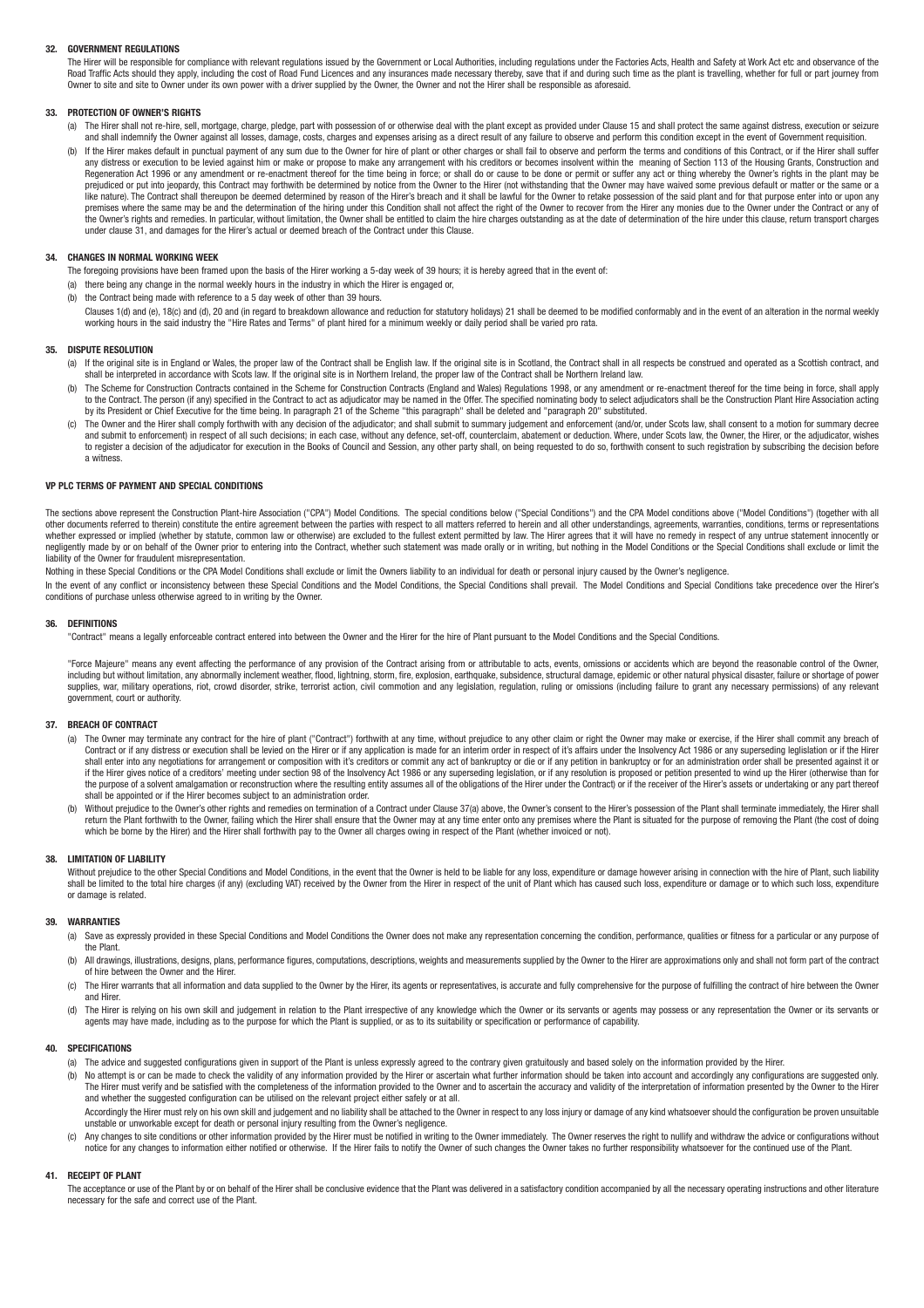### **32. GOVERNMENT REGULATIONS**

The Hirer will be responsible for compliance with relevant regulations issued by the Government or Local Authorities, including regulations under the Factories Acts, Health and Safety at Work Act etc and observance of the Road Traffic Acts should they apply, including the cost of Road Fund Licences and any insurances made necessary thereby, save that if and during such time as the plant is travelling, whether for full or part journey from Owner to site and site to Owner under its own power with a driver supplied by the Owner, the Owner and not the Hirer shall be responsible as aforesaid.

### **33. PROTECTION OF OWNER'S RIGHTS**

- (a) The Hirer shall not re-hire, sell, mortgage, charge, pledge, part with possession of or otherwise deal with the plant except as provided under Clause 15 and shall protect the same against distress, execution or seizure and shall indemnify the Owner against all losses, damage, costs, charges and expenses arising as a direct result of any failure to observe and perform this condition except in the event of Government requisition.
- (b) If the Hirer makes default in punctual payment of any sum due to the Owner for hire of plant or other charges or shall fail to observe and perform the terms and conditions of this Contract, or if the Hirer shall suffer Regeneration Act 1996 or any amendment or re-enactment thereof for the time being in force; or shall do or cause to be done or permit or suffer any act or thing whereby the Owner's rights in the plant may be prejudiced or put into jeopardy, this Contract may forthwith be determined by notice from the Owner to the Hirer (not withstanding that the Owner may have waived some previous default or matter or the same or a like nature). The Contract shall thereupon be deemed determined by reason of the Hirer's breach and it shall be lawful for the Owner to retake possession of the said plant and for that purpose enter into or upon any premises where the same may be and the determination of the hiring under this Condition shall not affect the right of the Owner to recover from the Hirer any monies due to the Owner under the Contract or any of  $t_{\rm{max}}$  the Owner's rights and remedies. In particular, without limitation, the Owner shall be entitled to claim the hire charges outstanding as at the date of determination of the hire under this clause, return transpo under clause 31, and damages for the Hirer's actual or deemed breach of the Contract under this Clause.

#### **34. CHANGES IN NORMAL WORKING WEEK**

The foregoing provisions have been framed upon the basis of the Hirer working a 5-day week of 39 hours; it is hereby agreed that in the event of:

- (a) there being any change in the normal weekly hours in the industry in which the Hirer is engaged or,
- (b) the Contract being made with reference to a 5 day week of other than 39 hours.
- Clauses 1(d) and (e), 18(c) and (d), 20 and (in repard to breakdown allowance and reduction for statutory holidays) 21 shall be deemed to be modified conformably and in the event of an alteration in the normal weekly working hours in the said industry the "Hire Rates and Terms" of plant hired for a minimum weekly or daily period shall be varied pro rata.

#### **35. DISPUTE RESOLUTION**

- (a) If the original site is in England or Wales, the proper law of the Contract shall be English law. If the original site is in Scotland, the Contract shall in all respects be construed and operated as a Scottish contract shall be interpreted in accordance with Scots law. If the original site is in Northern Ireland, the proper law of the Contract shall be Northern Ireland law.
- The Scheme for Construction Contracts contained in the Scheme for Construction Contracts (England and Wales) Regulations 1998, or any amendment or re-enactment thereof for the time being in force, shall apply to the Contract. The person (if any) specified in the Contract to act as adjudicator may be named in the Offer. The specified nominating body to select adjudicators shall be the Construction Plant Hire Association acting by its President or Chief Executive for the time being. In paragraph 21 of the Scheme "this paragraph" shall be deleted and "paragraph 20" substituted.
- c) The Owner and the Hirer shall comply forthwith with any decision of the adjudicator; and shall submit to summary judgement and enforcement (and/or, under Scots law, shall consent to a motion for summary decree<br>and submi to register a decision of the adjudicator for execution in the Books of Council and Session, any other party shall, on being requested to do so, forthwith consent to such registration by subscribing the decision before a witness.

## **VP PLC TERMS OF PAYMENT AND SPECIAL CONDITIONS**

The sections above represent the Construction Plant-hire Association ("CPA") Model Conditions. The special conditions below ("Special Conditions") and the CPA Model conditions above ("Model Conditions") (together with all of the columents referred to therein) constitute the entire agreement between the parties with respect to all matters referred to herein and all other understandings, agreements, warranties, conditions, terms or representa whether expressed or implied (whether by statute, common law or otherwise) are excluded to the fullest extent permitted by law. The Hirer agrees that it will have no remedy in respect of any untrue statement innocently or negligently made by or on behalf of the Owner prior to entering into the Contract, whether such statement was made orally or in writing, but nothing in the Model Conditions or the Special Conditions shall exclude or limit liability of the Owner for fraudulent misrepresentation.

Nothing in these Special Conditions or the CPA Model Conditions shall exclude or limit the Owners liability to an individual for death or personal injury caused by the Owner's negligence.

In the event of any conflict or inconsistency between these Special Conditions and the Model Conditions, the Special Conditions shall prevail. The Model Conditions and Special Conditions take precedence over the Hirer's conditions of purchase unless otherwise agreed to in writing by the Owner.

### **36. DEFINITIONS**

"Contract" means a legally enforceable contract entered into between the Owner and the Hirer for the hire of Plant pursuant to the Model Conditions and the Special Conditions.

"Force Majeure" means any event affecting the performance of any provision of the Contract arising from or attributable to acts, events, omissions or accidents which are beyond the reasonable control of the Owner including but without limitation, any abnormally inclement weather, flood, lightning, storm, fire, explosion, earthquake, subsidence, structural damage, epidemic or other natural physical disaster, failure or shortage of p supplies, war, military operations, riot, crowd disorder, strike, terrorist action, civil commotion and any legislation, regulation, ruling or omissions (including failure to grant any necessary permissions) of any relevan government, court or authority.

### **37. BREACH OF CONTRACT**

- (a) The Owner may terminate any contract for the hire of plant ("Contract") forthwith at any time, without prejudice to any other claim or right the Owner may make or exercise, if the Hirer shall commit any breach of Contract or if any distress or execution shall be levied on the Hirer or if any application is made for an interim order in respect of it's affairs under the Insolvency Act 1986 or any superseding legislation or if the Hir shall enter into any negotiations for arrangement or composition with it's creditors or commit any act of bankruptcy or die or if any petition in bankruptcy or for an administration order shall be presented against it or if the Hirer gives notice of a creditors' meeting under section 98 of the Insolvency Act 1986 or any superseding legislation, or if any resolution is proposed or petition presented to wind up the Hirer (otherwise than for the purpose of a solvent amalgamation or reconstruction where the resulting entity assumes all of the obligations of the Hirer under the Contract) or if the receiver of the Hirer's assets or undertaking or any part thereof shall be appointed or if the Hirer becomes subject to an administration order.
- (b) Without prejudice to the Owner's other rights and remedies on termination of a Contract under Clause 37(a) above, the Owner's consent to the Hirer's possession of the Plant shall terminate immediately, the Hirer shall which be borne by the Hirer) and the Hirer shall forthwith pay to the Owner all charges owing in respect of the Plant (whether invoiced or not).

### **38. LIMITATION OF LIABILITY**

Without prejudice to the other Special Conditions and Model Conditions, in the event that the Owner is held to be liable for any loss, expenditure or damage however arising in connection with the hire of Plant, such liabil shall be limited to the total hire charges (if any) (excluding VAT) received by the Owner from the Hirer in respect of the unit of Plant which has caused such loss, expenditure or damage or to which such loss, expenditure or damage is related.

#### **39. WARRANTIES**

- (a) Save as expressly provided in these Special Conditions and Model Conditions the Owner does not make any representation concerning the condition, performance, qualities or fitness for a particular or any purpose of the Plant.
- (b) All drawings, illustrations, designs, plans, performance figures, computations, descriptions, weights and measurements supplied by the Owner to the Hirer are approximations only and shall not form part of the contract of hire between the Owner and the Hirer.
- (c) The Hirer warrants that all information and data supplied to the Owner by the Hirer, its agents or representatives, is accurate and fully comprehensive for the purpose of fulfilling the contract of hire between the Owner and Hirer.
- (d) The Hirer is relying on his own skill and judgement in relation to the Plant irrespective of any knowledge which the Owner or its servants or agents may possess or any representation the Owner or its servants or<br>agents

### **40. SPECIFICATIONS**

- (a) The advice and suggested configurations given in support of the Plant is unless expressly agreed to the contrary given gratuitously and based solely on the information provided by the Hirer.
- (b) No attempt is or can be made to check the validity of any information provided by the Hirer or ascertain what further information should be taken into account and accordingly any configurations are suggested only. The Hirer must verify and be satisfied with the completeness of the information provided to the Owner and to ascertain the accuracy and validity of the interpretation of information presented by the Owner to the Hirer and whether the suggested configuration can be utilised on the relevant project either safely or at all. Accordingly the Hirer must rely on his own skill and judgement and no liability shall be attached to the Owner in respect to any loss injury or damage of any kind whatsoever should the configuration be proven unsuitable
- unstable or unworkable except for death or personal injury resulting from the Owner's negligence. (c) Any changes to site conditions or other information provided by the Hirer must be notified in writing to the Owner immediately. The Owner reserves the right to nullify and withdraw the advice or configurations without
- notice for any changes to information either notified or otherwise. If the Hirer fails to notify the Owner of such changes the Owner takes no further responsibility whatsoever for the continued use of the Plant.

#### **41. RECEIPT OF PLANT**

The acceptance or use of the Plant by or on behalf of the Hirer shall be conclusive evidence that the Plant was delivered in a satisfactory condition accompanied by all the necessary operating instructions and other litera necessary for the safe and correct use of the Plant.